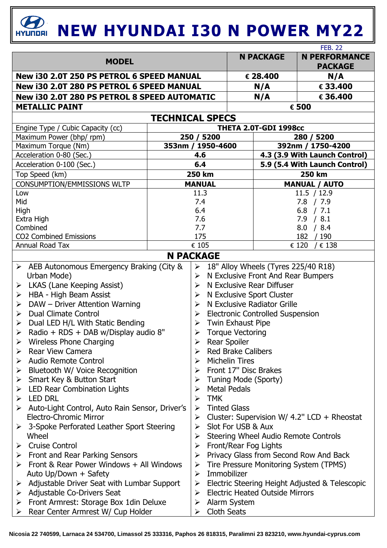## *C***<sub>BRI</sub> <b>NEW HYUNDAI I30 N POWER MY22**

|                                                                                 |            |                                                                                     |                                                                   |                               | <b>FEB. 22</b>                         |  |
|---------------------------------------------------------------------------------|------------|-------------------------------------------------------------------------------------|-------------------------------------------------------------------|-------------------------------|----------------------------------------|--|
| <b>MODEL</b>                                                                    |            |                                                                                     | <b>N PACKAGE</b>                                                  |                               | <b>N PERFORMANCE</b><br><b>PACKAGE</b> |  |
| New i30 2.0T 250 PS PETROL 6 SPEED MANUAL                                       |            |                                                                                     | € 28.400                                                          | N/A                           |                                        |  |
| New i30 2.0T 280 PS PETROL 6 SPEED MANUAL                                       |            |                                                                                     | N/A                                                               | € 33.400                      |                                        |  |
| New i30 2.0T 280 PS PETROL 8 SPEED AUTOMATIC                                    |            |                                                                                     |                                                                   | N/A                           | € 36.400                               |  |
| <b>METALLIC PAINT</b>                                                           |            | € 500                                                                               |                                                                   |                               |                                        |  |
| <b>TECHNICAL SPECS</b>                                                          |            |                                                                                     |                                                                   |                               |                                        |  |
| THETA 2.0T-GDI 1998cc<br>Engine Type / Cubic Capacity (cc)                      |            |                                                                                     |                                                                   |                               |                                        |  |
| Maximum Power (bhp/ rpm)                                                        |            | 250 / 5200                                                                          |                                                                   | 280 / 5200                    |                                        |  |
| Maximum Torque (Nm)                                                             |            | 353nm / 1950-4600                                                                   |                                                                   | 392nm / 1750-4200             |                                        |  |
| Acceleration 0-80 (Sec.)                                                        |            | 4.6                                                                                 |                                                                   | 4.3 (3.9 With Launch Control) |                                        |  |
| Acceleration 0-100 (Sec.)                                                       |            | 6.4                                                                                 |                                                                   | 5.9 (5.4 With Launch Control) |                                        |  |
| Top Speed (km)                                                                  |            |                                                                                     | <b>250 km</b>                                                     |                               | 250 km                                 |  |
| <b>CONSUMPTION/EMMISSIONS WLTP</b>                                              |            | <b>MANUAL</b>                                                                       |                                                                   |                               | <b>MANUAL / AUTO</b>                   |  |
| Low                                                                             |            | 11.3                                                                                |                                                                   |                               | 11.5 / 12.9                            |  |
| Mid                                                                             | 7.4        |                                                                                     |                                                                   | 7.8 / 7.9                     |                                        |  |
| High                                                                            | 6.4        |                                                                                     |                                                                   | $6.8$ / 7.1                   |                                        |  |
| Extra High                                                                      | 7.6        |                                                                                     |                                                                   | 7.9 / 8.1                     |                                        |  |
| Combined<br><b>CO2 Combined Emissions</b>                                       | 7.7<br>175 |                                                                                     |                                                                   | /8.4<br>8.0                   |                                        |  |
| Annual Road Tax                                                                 | € 105      |                                                                                     |                                                                   | 182 / 190<br>€ 120<br>/€138   |                                        |  |
| <b>N PACKAGE</b>                                                                |            |                                                                                     |                                                                   |                               |                                        |  |
|                                                                                 |            |                                                                                     |                                                                   |                               |                                        |  |
| > AEB Autonomous Emergency Braking (City &<br>Urban Mode)                       |            | 18" Alloy Wheels (Tyres 225/40 R18)<br>➤<br>N Exclusive Front And Rear Bumpers<br>➤ |                                                                   |                               |                                        |  |
| LKAS (Lane Keeping Assist)<br>➤                                                 |            | N Exclusive Rear Diffuser<br>≻                                                      |                                                                   |                               |                                        |  |
| HBA - High Beam Assist<br>➤                                                     |            | N Exclusive Sport Cluster<br>➤                                                      |                                                                   |                               |                                        |  |
| DAW - Driver Attention Warning<br>➤                                             |            | N Exclusive Radiator Grille<br>➤                                                    |                                                                   |                               |                                        |  |
| <b>Dual Climate Control</b><br>➤                                                |            | <b>Electronic Controlled Suspension</b><br>➤                                        |                                                                   |                               |                                        |  |
| Dual LED H/L With Static Bending<br>➤                                           |            | <b>Twin Exhaust Pipe</b><br>$\blacktriangleright$                                   |                                                                   |                               |                                        |  |
| Radio + RDS + DAB w/Display audio 8"                                            |            | <b>Torque Vectoring</b><br>➤                                                        |                                                                   |                               |                                        |  |
| <b>Wireless Phone Charging</b>                                                  |            | <b>Rear Spoiler</b><br>➤                                                            |                                                                   |                               |                                        |  |
| <b>Rear View Camera</b><br>➤                                                    |            | <b>Red Brake Calibers</b><br>➤                                                      |                                                                   |                               |                                        |  |
| Audio Remote Control<br>➤                                                       |            | <b>Michelin Tires</b><br>➤                                                          |                                                                   |                               |                                        |  |
| Bluetooth W/ Voice Recognition<br>➤                                             |            | Front 17" Disc Brakes<br>➤                                                          |                                                                   |                               |                                        |  |
| Smart Key & Button Start<br>➤                                                   |            | Tuning Mode (Sporty)<br>➤                                                           |                                                                   |                               |                                        |  |
| LED Rear Combination Lights<br>➤                                                |            | <b>Metal Pedals</b><br>➤                                                            |                                                                   |                               |                                        |  |
| <b>LED DRL</b><br>⋗                                                             |            | <b>TMK</b><br>➤                                                                     |                                                                   |                               |                                        |  |
| Auto-Light Control, Auto Rain Sensor, Driver's<br>➤                             |            | ➤                                                                                   | <b>Tinted Glass</b>                                               |                               |                                        |  |
| <b>Electro-Chromic Mirror</b><br>3-Spoke Perforated Leather Sport Steering<br>➤ |            | ➤<br>➤                                                                              | Cluster: Supervision W/ 4.2" LCD + Rheostat<br>Slot For USB & Aux |                               |                                        |  |
| Wheel                                                                           |            | Steering Wheel Audio Remote Controls<br>➤                                           |                                                                   |                               |                                        |  |
| <b>Cruise Control</b><br>➤                                                      |            | Front/Rear Fog Lights<br>➤                                                          |                                                                   |                               |                                        |  |
| Front and Rear Parking Sensors<br>➤                                             |            | Privacy Glass from Second Row And Back<br>$\blacktriangleright$                     |                                                                   |                               |                                        |  |
| Front & Rear Power Windows + All Windows                                        |            | Tire Pressure Monitoring System (TPMS)<br>➤                                         |                                                                   |                               |                                        |  |
| Auto Up/Down + Safety                                                           |            | Immobilizer<br>➤                                                                    |                                                                   |                               |                                        |  |
| Adjustable Driver Seat with Lumbar Support<br>➤                                 |            | ➤                                                                                   | Electric Steering Height Adjusted & Telescopic                    |                               |                                        |  |
| Adjustable Co-Drivers Seat<br>➤                                                 |            | ➤                                                                                   | <b>Electric Heated Outside Mirrors</b>                            |                               |                                        |  |
| Front Armrest: Storage Box 1din Deluxe<br>➤                                     |            | ➤                                                                                   | Alarm System                                                      |                               |                                        |  |
| Rear Center Armrest W/ Cup Holder<br>➤                                          |            | <b>Cloth Seats</b><br>➤                                                             |                                                                   |                               |                                        |  |